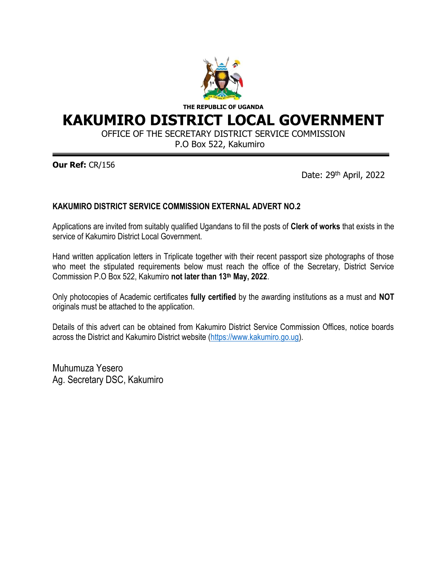

**THE REPUBLIC OF UGANDA**

# **KAKUMIRO DISTRICT LOCAL GOVERNMENT**

OFFICE OF THE SECRETARY DISTRICT SERVICE COMMISSION

P.O Box 522, Kakumiro

**Our Ref:** CR/156

Date: 29<sup>th</sup> April, 2022

#### **KAKUMIRO DISTRICT SERVICE COMMISSION EXTERNAL ADVERT NO.2**

Applications are invited from suitably qualified Ugandans to fill the posts of **Clerk of works** that exists in the service of Kakumiro District Local Government.

Hand written application letters in Triplicate together with their recent passport size photographs of those who meet the stipulated requirements below must reach the office of the Secretary, District Service Commission P.O Box 522, Kakumiro **not later than 13th May, 2022**.

Only photocopies of Academic certificates **fully certified** by the awarding institutions as a must and **NOT** originals must be attached to the application.

Details of this advert can be obtained from Kakumiro District Service Commission Offices, notice boards across the District and Kakumiro District website [\(https://www.kakumiro.go.ug\)](https://www.kakumiro.go.ug/).

Muhumuza Yesero Ag. Secretary DSC, Kakumiro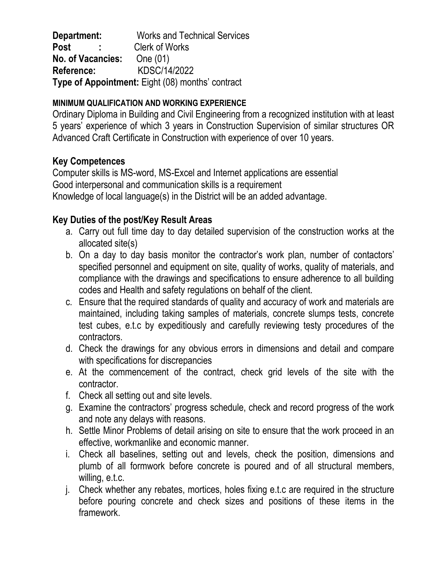**Department:** Works and Technical Services Post : Clerk of Works **No. of Vacancies:** One (01) **Reference:** KDSC/14/2022 **Type of Appointment:** Eight (08) months' contract

### **MINIMUM QUALIFICATION AND WORKING EXPERIENCE**

Ordinary Diploma in Building and Civil Engineering from a recognized institution with at least 5 years' experience of which 3 years in Construction Supervision of similar structures OR Advanced Craft Certificate in Construction with experience of over 10 years.

# **Key Competences**

Computer skills is MS-word, MS-Excel and Internet applications are essential Good interpersonal and communication skills is a requirement Knowledge of local language(s) in the District will be an added advantage.

# **Key Duties of the post/Key Result Areas**

- a. Carry out full time day to day detailed supervision of the construction works at the allocated site(s)
- b. On a day to day basis monitor the contractor's work plan, number of contactors' specified personnel and equipment on site, quality of works, quality of materials, and compliance with the drawings and specifications to ensure adherence to all building codes and Health and safety regulations on behalf of the client.
- c. Ensure that the required standards of quality and accuracy of work and materials are maintained, including taking samples of materials, concrete slumps tests, concrete test cubes, e.t.c by expeditiously and carefully reviewing testy procedures of the contractors.
- d. Check the drawings for any obvious errors in dimensions and detail and compare with specifications for discrepancies
- e. At the commencement of the contract, check grid levels of the site with the contractor.
- f. Check all setting out and site levels.
- g. Examine the contractors' progress schedule, check and record progress of the work and note any delays with reasons.
- h. Settle Minor Problems of detail arising on site to ensure that the work proceed in an effective, workmanlike and economic manner.
- i. Check all baselines, setting out and levels, check the position, dimensions and plumb of all formwork before concrete is poured and of all structural members, willing, e.t.c.
- j. Check whether any rebates, mortices, holes fixing e.t.c are required in the structure before pouring concrete and check sizes and positions of these items in the framework.